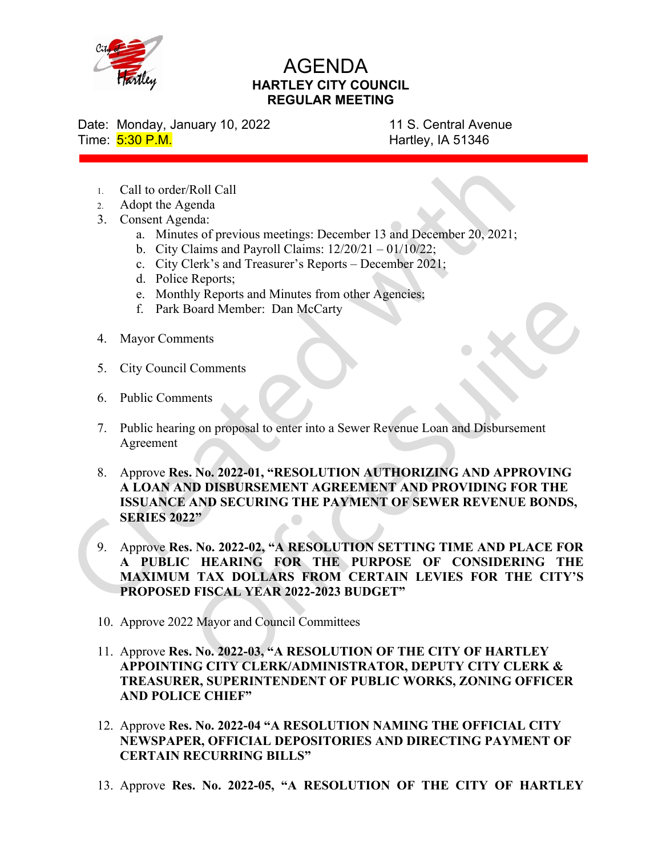

## AGENDA HARTLEY CITY COUNCIL REGULAR MEETING

Date: Monday, January 10, 2022 11 S. Central Avenue Time: 5:30 P.M. **Hartley, IA 51346** 

- 1. Call to order/Roll Call
- 2. Adopt the Agenda
- 3. Consent Agenda:
	- a. Minutes of previous meetings: December 13 and December 20, 2021;
	- b. City Claims and Payroll Claims:  $12/20/21 01/10/22$ ;
	- c. City Clerk's and Treasurer's Reports December 2021;
	- d. Police Reports;
	- e. Monthly Reports and Minutes from other Agencies;
	- f. Park Board Member: Dan McCarty
- 4. Mayor Comments
- 5. City Council Comments
- 6. Public Comments
- 7. Public hearing on proposal to enter into a Sewer Revenue Loan and Disbursement Agreement
- 8. Approve Res. No. 2022-01, "RESOLUTION AUTHORIZING AND APPROVING A LOAN AND DISBURSEMENT AGREEMENT AND PROVIDING FOR THE ISSUANCE AND SECURING THE PAYMENT OF SEWER REVENUE BONDS, SERIES 2022"
- 9. Approve Res. No. 2022-02, "A RESOLUTION SETTING TIME AND PLACE FOR A PUBLIC HEARING FOR THE PURPOSE OF CONSIDERING THE MAXIMUM TAX DOLLARS FROM CERTAIN LEVIES FOR THE CITY'S PROPOSED FISCAL YEAR 2022-2023 BUDGET"
- 10. Approve 2022 Mayor and Council Committees
- 11. Approve Res. No. 2022-03, "A RESOLUTION OF THE CITY OF HARTLEY APPOINTING CITY CLERK/ADMINISTRATOR, DEPUTY CITY CLERK & TREASURER, SUPERINTENDENT OF PUBLIC WORKS, ZONING OFFICER AND POLICE CHIEF"
- 12. Approve Res. No. 2022-04 "A RESOLUTION NAMING THE OFFICIAL CITY NEWSPAPER, OFFICIAL DEPOSITORIES AND DIRECTING PAYMENT OF CERTAIN RECURRING BILLS"
- 13. Approve Res. No. 2022-05, "A RESOLUTION OF THE CITY OF HARTLEY